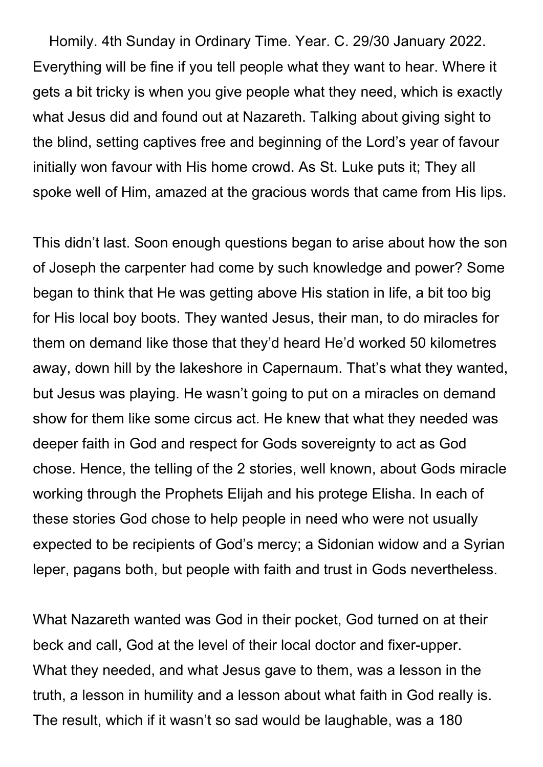Homily. 4th Sunday in Ordinary Time. Year. C. 29/30 January 2022. Everything will be fine if you tell people what they want to hear. Where it gets a bit tricky is when you give people what they need, which is exactly what Jesus did and found out at Nazareth. Talking about giving sight to the blind, setting captives free and beginning of the Lord's year of favour initially won favour with His home crowd. As St. Luke puts it; They all spoke well of Him, amazed at the gracious words that came from His lips.

This didn't last. Soon enough questions began to arise about how the son of Joseph the carpenter had come by such knowledge and power? Some began to think that He was getting above His station in life, a bit too big for His local boy boots. They wanted Jesus, their man, to do miracles for them on demand like those that they'd heard He'd worked 50 kilometres away, down hill by the lakeshore in Capernaum. That's what they wanted, but Jesus was playing. He wasn't going to put on a miracles on demand show for them like some circus act. He knew that what they needed was deeper faith in God and respect for Gods sovereignty to act as God chose. Hence, the telling of the 2 stories, well known, about Gods miracle working through the Prophets Elijah and his protege Elisha. In each of these stories God chose to help people in need who were not usually expected to be recipients of God's mercy; a Sidonian widow and a Syrian leper, pagans both, but people with faith and trust in Gods nevertheless.

What Nazareth wanted was God in their pocket, God turned on at their beck and call, God at the level of their local doctor and fixer-upper. What they needed, and what Jesus gave to them, was a lesson in the truth, a lesson in humility and a lesson about what faith in God really is. The result, which if it wasn't so sad would be laughable, was a 180